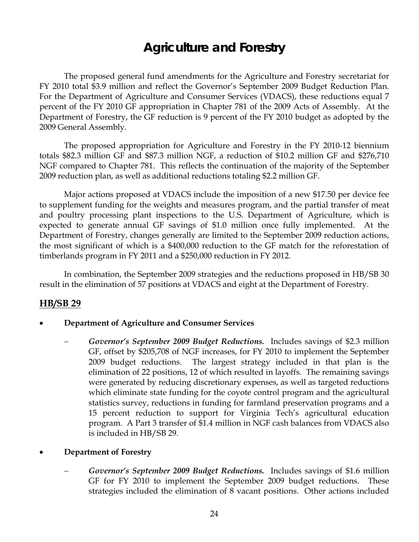# **Agriculture and Forestry**

 The proposed general fund amendments for the Agriculture and Forestry secretariat for FY 2010 total \$3.9 million and reflect the Governor's September 2009 Budget Reduction Plan. For the Department of Agriculture and Consumer Services (VDACS), these reductions equal 7 percent of the FY 2010 GF appropriation in Chapter 781 of the 2009 Acts of Assembly. At the Department of Forestry, the GF reduction is 9 percent of the FY 2010 budget as adopted by the 2009 General Assembly.

The proposed appropriation for Agriculture and Forestry in the FY 2010-12 biennium totals \$82.3 million GF and \$87.3 million NGF, a reduction of \$10.2 million GF and \$276,710 NGF compared to Chapter 781. This reflects the continuation of the majority of the September 2009 reduction plan, as well as additional reductions totaling \$2.2 million GF.

Major actions proposed at VDACS include the imposition of a new \$17.50 per device fee to supplement funding for the weights and measures program, and the partial transfer of meat and poultry processing plant inspections to the U.S. Department of Agriculture, which is expected to generate annual GF savings of \$1.0 million once fully implemented. At the Department of Forestry, changes generally are limited to the September 2009 reduction actions, the most significant of which is a \$400,000 reduction to the GF match for the reforestation of timberlands program in FY 2011 and a \$250,000 reduction in FY 2012.

In combination, the September 2009 strategies and the reductions proposed in HB/SB 30 result in the elimination of 57 positions at VDACS and eight at the Department of Forestry.

# **HB/SB 29**

- **Department of Agriculture and Consumer Services** 
	- − *Governor's September 2009 Budget Reductions.* Includes savings of \$2.3 million GF, offset by \$205,708 of NGF increases, for FY 2010 to implement the September 2009 budget reductions. The largest strategy included in that plan is the elimination of 22 positions, 12 of which resulted in layoffs. The remaining savings were generated by reducing discretionary expenses, as well as targeted reductions which eliminate state funding for the coyote control program and the agricultural statistics survey, reductions in funding for farmland preservation programs and a 15 percent reduction to support for Virginia Tech's agricultural education program. A Part 3 transfer of \$1.4 million in NGF cash balances from VDACS also is included in HB/SB 29.

#### • **Department of Forestry**

− *Governor's September 2009 Budget Reductions.* Includes savings of \$1.6 million GF for FY 2010 to implement the September 2009 budget reductions. These strategies included the elimination of 8 vacant positions. Other actions included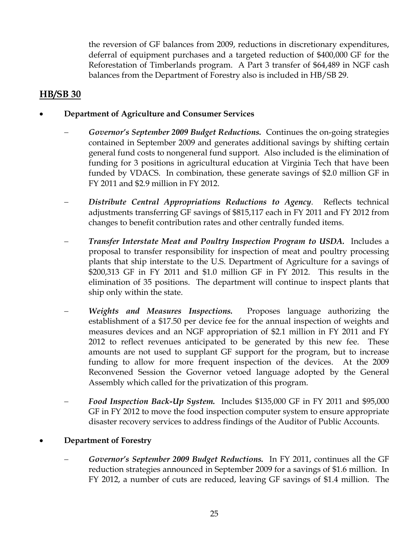the reversion of GF balances from 2009, reductions in discretionary expenditures, deferral of equipment purchases and a targeted reduction of \$400,000 GF for the Reforestation of Timberlands program. A Part 3 transfer of \$64,489 in NGF cash balances from the Department of Forestry also is included in HB/SB 29.

# **HB/SB 30**

### • **Department of Agriculture and Consumer Services**

- − *Governor's September 2009 Budget Reductions.* Continues the on-going strategies contained in September 2009 and generates additional savings by shifting certain general fund costs to nongeneral fund support. Also included is the elimination of funding for 3 positions in agricultural education at Virginia Tech that have been funded by VDACS. In combination, these generate savings of \$2.0 million GF in FY 2011 and \$2.9 million in FY 2012.
- Distribute Central Appropriations Reductions to Agency. Reflects technical adjustments transferring GF savings of \$815,117 each in FY 2011 and FY 2012 from changes to benefit contribution rates and other centrally funded items.
- *Transfer Interstate Meat and Poultry Inspection Program to USDA.* **Includes a** proposal to transfer responsibility for inspection of meat and poultry processing plants that ship interstate to the U.S. Department of Agriculture for a savings of \$200,313 GF in FY 2011 and \$1.0 million GF in FY 2012. This results in the elimination of 35 positions. The department will continue to inspect plants that ship only within the state.
- *Weights and Measures Inspections.* Proposes language authorizing the establishment of a \$17.50 per device fee for the annual inspection of weights and measures devices and an NGF appropriation of \$2.1 million in FY 2011 and FY 2012 to reflect revenues anticipated to be generated by this new fee. These amounts are not used to supplant GF support for the program, but to increase funding to allow for more frequent inspection of the devices. At the 2009 Reconvened Session the Governor vetoed language adopted by the General Assembly which called for the privatization of this program.
- − *Food Inspection Back-Up System.* Includes \$135,000 GF in FY 2011 and \$95,000 GF in FY 2012 to move the food inspection computer system to ensure appropriate disaster recovery services to address findings of the Auditor of Public Accounts.

# • **Department of Forestry**

− *Governor's September 2009 Budget Reductions.* In FY 2011, continues all the GF reduction strategies announced in September 2009 for a savings of \$1.6 million. In FY 2012, a number of cuts are reduced, leaving GF savings of \$1.4 million. The